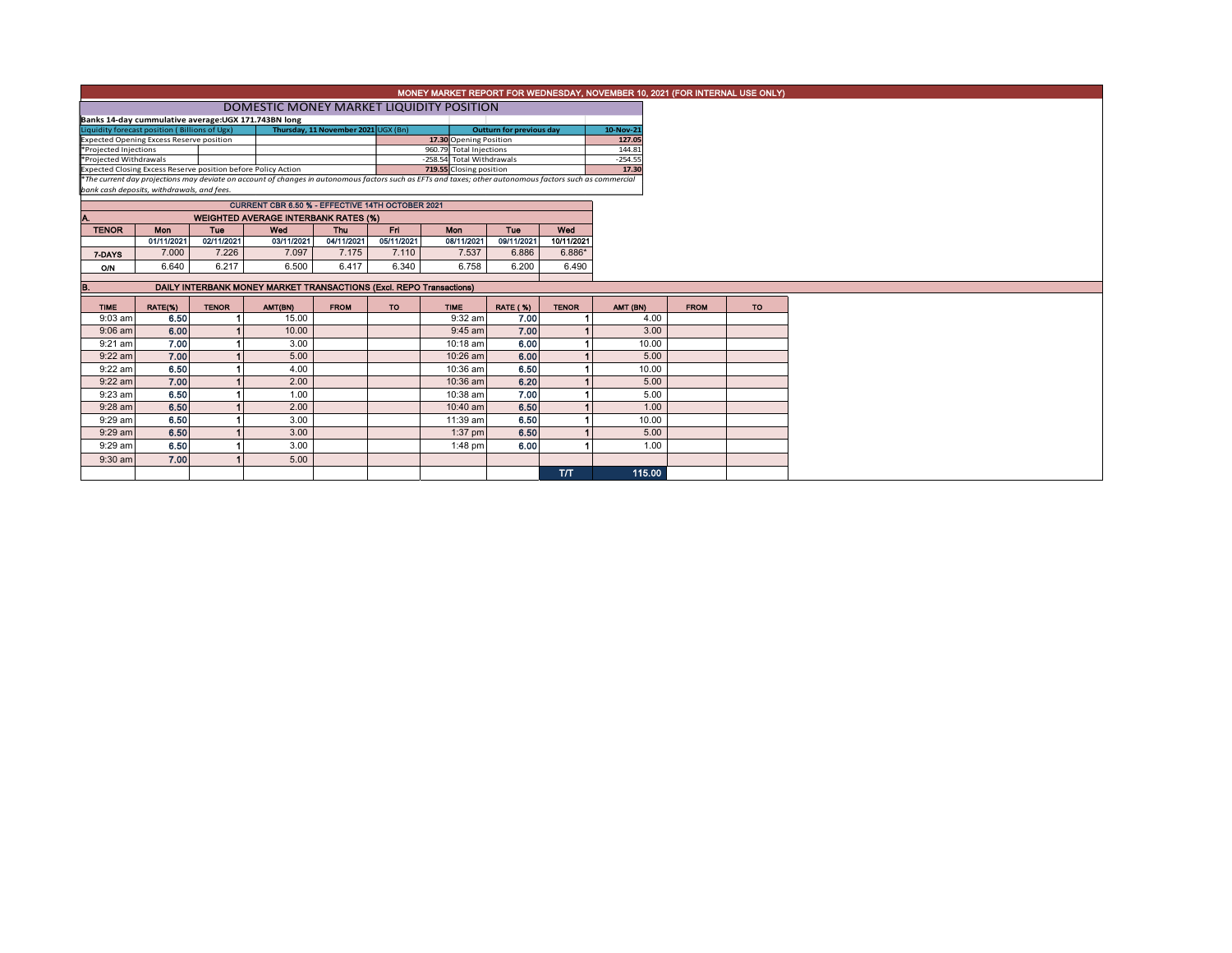## MONEY MARKET REPORT FOR WEDNESDAY, NOVEMBER 10, 2021 (FOR INTERNAL USE ONLY)

## **DOMESTIC MONEY MARKET LIQUIDITY POSITION**

| Banks 14-day cummulative average: UGX 171.743BN long          |                                                                                                                                                          |                           |                                 |           |
|---------------------------------------------------------------|----------------------------------------------------------------------------------------------------------------------------------------------------------|---------------------------|---------------------------------|-----------|
| Liquidity forecast position (Billions of Ugx)                 | Thursday, 11 November 2021 UGX (Bn)                                                                                                                      |                           | <b>Outturn for previous day</b> | 10-Nov-21 |
| <b>Expected Opening Excess Reserve position</b>               |                                                                                                                                                          | 17.30 Opening Position    |                                 | 127.05    |
| *Projected Injections                                         |                                                                                                                                                          | 960.79 Total Injections   |                                 | 144.81    |
| *Projected Withdrawals                                        |                                                                                                                                                          | -258.54 Total Withdrawals |                                 | $-254.55$ |
| Expected Closing Excess Reserve position before Policy Action |                                                                                                                                                          | 719.55 Closing position   |                                 | 17.30     |
|                                                               | *The current day projections may deviate on account of changes in autonomous factors such as EFTs and taxes; other autonomous factors such as commercial |                           |                                 |           |
| bank cash deposits, withdrawals, and fees.                    |                                                                                                                                                          |                           |                                 |           |

|                                                    |            |            | <b>CURRENT CBR 6.50 % - EFFECTIVE 14TH OCTOBER 2021</b> |            |            |            |            |            |  |  |  |  |  |
|----------------------------------------------------|------------|------------|---------------------------------------------------------|------------|------------|------------|------------|------------|--|--|--|--|--|
| <b>WEIGHTED AVERAGE INTERBANK RATES (%)</b><br>IA. |            |            |                                                         |            |            |            |            |            |  |  |  |  |  |
| <b>TENOR</b>                                       | <b>Mon</b> | Tue        | Wed                                                     | Thu        | Fri        | Mon        | Tue        | Wed        |  |  |  |  |  |
|                                                    | 01/11/2021 | 02/11/2021 | 03/11/2021                                              | 04/11/2021 | 05/11/2021 | 08/11/2021 | 09/11/2021 | 10/11/2021 |  |  |  |  |  |
| 7-DAYS                                             | 7.000      | 7.226      | 7.097                                                   | 7.175      | 7.110      | 7.537      | 6.886      | $6.886*$   |  |  |  |  |  |
| O/N                                                | 6.640      | 6.217      | 6.500                                                   | 6.417      | 6.340      | 6.758      | 6.200      | 6.490      |  |  |  |  |  |
|                                                    |            |            |                                                         |            |            |            |            |            |  |  |  |  |  |

| B.          |         |              | DAILY INTERBANK MONEY MARKET TRANSACTIONS (Excl. REPO Transactions) |             |     |             |                 |              |          |             |           |
|-------------|---------|--------------|---------------------------------------------------------------------|-------------|-----|-------------|-----------------|--------------|----------|-------------|-----------|
|             |         |              |                                                                     |             |     |             |                 |              |          |             |           |
| <b>TIME</b> | RATE(%) | <b>TENOR</b> | AMT(BN)                                                             | <b>FROM</b> | TO. | <b>TIME</b> | <b>RATE (%)</b> | <b>TENOR</b> | AMT (BN) | <b>FROM</b> | <b>TO</b> |
| $9:03$ am   | 6.50    |              | 15.00                                                               |             |     | $9:32$ am   | 7.00            |              | 4.00     |             |           |
| $9:06$ am   | 6.00    |              | 10.00                                                               |             |     | $9:45$ am   | 7.00            |              | 3.00     |             |           |
| $9:21$ am   | 7.00    |              | 3.00                                                                |             |     | 10:18 am    | 6.00            |              | 10.00    |             |           |
| $9:22$ am   | 7.00    |              | 5.00                                                                |             |     | $10:26$ am  | 6.00            |              | 5.00     |             |           |
| 9:22 am     | 6.50    |              | 4.00                                                                |             |     | $10:36$ am  | 6.50            |              | 10.00    |             |           |
| $9:22$ am   | 7.00    |              | 2.00                                                                |             |     | $10:36$ am  | 6.20            |              | 5.00     |             |           |
| 9:23 am     | 6.50    |              | 1.00                                                                |             |     | 10:38 am    | 7.00            |              | 5.00     |             |           |
| $9:28$ am   | 6.50    |              | 2.00                                                                |             |     | $10:40$ am  | 6.50            |              | 1.00     |             |           |
| 9:29 am     | 6.50    |              | 3.00                                                                |             |     | 11:39 am    | 6.50            |              | 10.00    |             |           |
| $9:29$ am   | 6.50    |              | 3.00                                                                |             |     | $1:37$ pm   | 6.50            |              | 5.00     |             |           |
| 9:29 am     | 6.50    |              | 3.00                                                                |             |     | $1:48$ pm   | 6.00            |              | 1.00     |             |           |
| $9:30$ am   | 7.00    |              | 5.00                                                                |             |     |             |                 |              |          |             |           |
|             |         |              |                                                                     |             |     |             |                 | T/T          | 115.00   |             |           |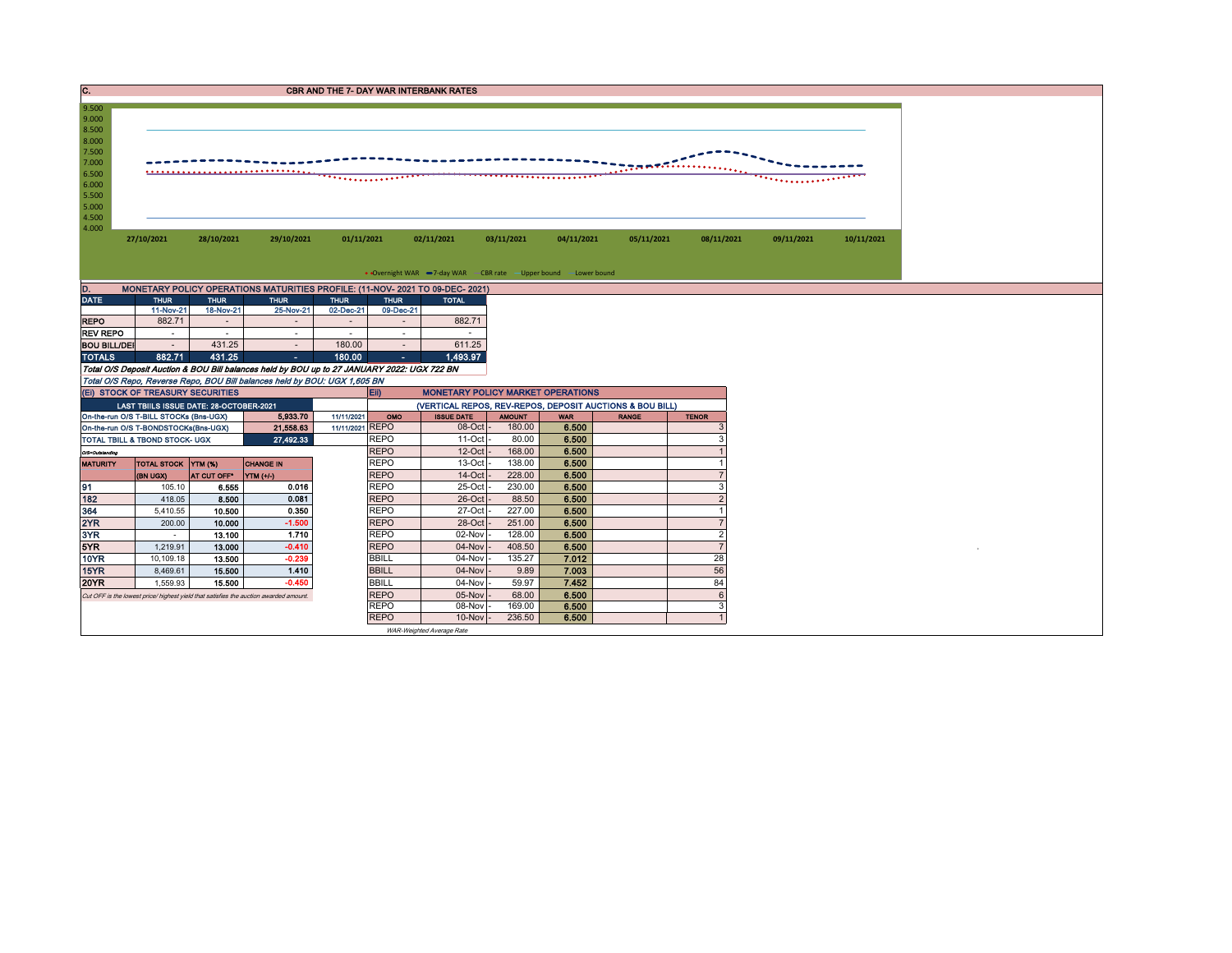| . . | <b>CBR AND THE 7- DAY WAR INTERBANK RATES</b> |
|-----|-----------------------------------------------|
|     |                                               |



| <b>DATE</b>         | <b>THUR</b> | <b>THUR</b>                  | <b>THUR</b>    | <b>THUR</b>              | <b>THUR</b> | <b>TOTAL</b> |
|---------------------|-------------|------------------------------|----------------|--------------------------|-------------|--------------|
|                     | 11-Nov-21   | 18-Nov-21                    | 25-Nov-21      | 02-Dec-21                | 09-Dec-21   |              |
| <b>REPO</b>         | 882.71      | $\qquad \qquad \blacksquare$ | $\blacksquare$ | $\overline{\phantom{a}}$ |             | 882.71       |
| <b>REV REPO</b>     | ۰           | ۰                            |                | ۰                        | ۰           | $\sim$       |
| <b>BOU BILL/DEI</b> | ۰           | 431.25                       | $\blacksquare$ | 180.00                   |             | 611.25       |
| <b>TOTALS</b>       | 882.71      | 431.25                       | ٠              | 180.00                   | $\epsilon$  | 1,493.97     |

Total O/S Deposit Auction & BOU Bill balances held by BOU up to 27 JANUARY 2022: UGX 722 BN Total O/S Repo, Reverse Repo, BOU Bill balances held by BOU: UGX 1,605 BN

|                 | (EI) STOCK OF TREASURY SECURITIES         |             |                                                                                       |                 | E            | <b>MONETARY POLICY MARKET OPERATIONS</b> |               |            |                                                          |              |
|-----------------|-------------------------------------------|-------------|---------------------------------------------------------------------------------------|-----------------|--------------|------------------------------------------|---------------|------------|----------------------------------------------------------|--------------|
|                 | LAST TBIILS ISSUE DATE: 28-OCTOBER-2021   |             |                                                                                       |                 |              |                                          |               |            | (VERTICAL REPOS, REV-REPOS, DEPOSIT AUCTIONS & BOU BILL) |              |
|                 | On-the-run O/S T-BILL STOCKs (Bns-UGX)    |             | 5,933,70                                                                              | 11/11/2021      | OMO          | <b>ISSUE DATE</b>                        | <b>AMOUNT</b> | <b>WAR</b> | <b>RANGE</b>                                             | <b>TENOR</b> |
|                 | On-the-run O/S T-BONDSTOCKs(Bns-UGX)      |             | 21,558.63                                                                             | 11/11/2021 REPO |              | $08$ -Oct $-$                            | 180.00        | 6.500      |                                                          |              |
|                 | <b>TOTAL TBILL &amp; TBOND STOCK- UGX</b> |             | 27,492.33                                                                             |                 | <b>REPO</b>  | $11$ -Oct $-$                            | 80.00         | 6.500      |                                                          |              |
| O/S=Outstanding |                                           |             |                                                                                       |                 | <b>REPO</b>  | $12$ -Oct $-$                            | 168.00        | 6.500      |                                                          |              |
| <b>MATURITY</b> | TOTAL STOCK YTM (%)                       |             | <b>CHANGE IN</b>                                                                      |                 | <b>REPO</b>  | $13-Oct$ -                               | 138.00        | 6.500      |                                                          |              |
|                 | (BN UGX)                                  | AT CUT OFF* | YTM (+/-)                                                                             |                 | <b>REPO</b>  | $14$ -Oct $-$                            | 228.00        | 6.500      |                                                          |              |
| 91              | 105.10                                    | 6.555       | 0.016                                                                                 |                 | <b>REPO</b>  | 25-Oct -                                 | 230.00        | 6.500      |                                                          |              |
| 182             | 418.05                                    | 8.500       | 0.081                                                                                 |                 | <b>REPO</b>  | $26$ -Oct $-$                            | 88.50         | 6.500      |                                                          |              |
| 364             | 5,410.55                                  | 10.500      | 0.350                                                                                 |                 | <b>REPO</b>  | $27$ -Oct $\cdot$                        | 227.00        | 6.500      |                                                          |              |
| 2YR             | 200.00                                    | 10.000      | $-1.500$                                                                              |                 | <b>REPO</b>  | 28-Oct -                                 | 251.00        | 6.500      |                                                          |              |
| 3YR             |                                           | 13.100      | 1.710                                                                                 |                 | <b>REPO</b>  | 02-Nov -                                 | 128.00        | 6.500      |                                                          |              |
| 5YR             | 1.219.91                                  | 13.000      | $-0.410$                                                                              |                 | <b>REPO</b>  | $04$ -Nov $ -$                           | 408.50        | 6.500      |                                                          |              |
| <b>10YR</b>     | 10.109.18                                 | 13.500      | $-0.239$                                                                              |                 | <b>BBILL</b> | 04-Nov -                                 | 135.27        | 7.012      |                                                          | 28           |
| <b>15YR</b>     | 8,469.61                                  | 15.500      | 1.410                                                                                 |                 | <b>BBILL</b> | $04$ -Nov $-$                            | 9.89          | 7.003      |                                                          | 56           |
| <b>20YR</b>     | 1,559.93                                  | 15.500      | $-0.450$                                                                              |                 | <b>BBILL</b> | 04-Nov -                                 | 59.97         | 7.452      |                                                          | 84           |
|                 |                                           |             | Cut OFF is the lowest price/ highest yield that satisfies the auction awarded amount. |                 | <b>REPO</b>  | $05$ -Nov $-$                            | 68.00         | 6.500      |                                                          |              |
|                 |                                           |             |                                                                                       |                 | <b>REPO</b>  | 08-Nov -                                 | 169.00        | 6.500      |                                                          |              |
|                 |                                           |             |                                                                                       |                 | <b>REPO</b>  | $10$ -Nov $\vert$ -                      | 236.50        | 6.500      |                                                          |              |

WAR-Weighted Average Rate